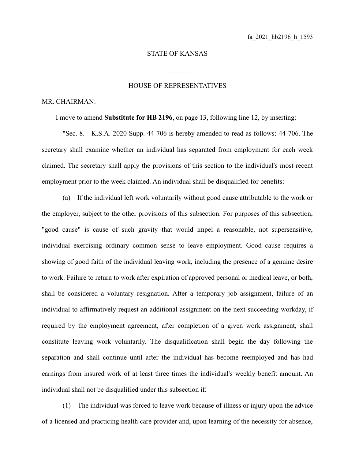## STATE OF KANSAS

 $\mathcal{L}_\text{max}$ 

## HOUSE OF REPRESENTATIVES

## MR. CHAIRMAN:

I move to amend **Substitute for HB 2196**, on page 13, following line 12, by inserting:

"Sec. 8. K.S.A. 2020 Supp. 44-706 is hereby amended to read as follows: 44-706. The secretary shall examine whether an individual has separated from employment for each week claimed. The secretary shall apply the provisions of this section to the individual's most recent employment prior to the week claimed. An individual shall be disqualified for benefits:

(a) If the individual left work voluntarily without good cause attributable to the work or the employer, subject to the other provisions of this subsection. For purposes of this subsection, "good cause" is cause of such gravity that would impel a reasonable, not supersensitive, individual exercising ordinary common sense to leave employment. Good cause requires a showing of good faith of the individual leaving work, including the presence of a genuine desire to work. Failure to return to work after expiration of approved personal or medical leave, or both, shall be considered a voluntary resignation. After a temporary job assignment, failure of an individual to affirmatively request an additional assignment on the next succeeding workday, if required by the employment agreement, after completion of a given work assignment, shall constitute leaving work voluntarily. The disqualification shall begin the day following the separation and shall continue until after the individual has become reemployed and has had earnings from insured work of at least three times the individual's weekly benefit amount. An individual shall not be disqualified under this subsection if:

(1) The individual was forced to leave work because of illness or injury upon the advice of a licensed and practicing health care provider and, upon learning of the necessity for absence,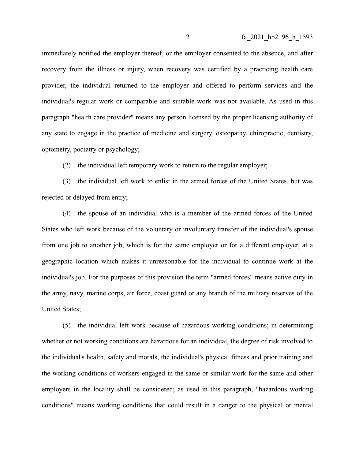immediately notified the employer thereof, or the employer consented to the absence, and after recovery from the illness or injury, when recovery was certified by a practicing health care provider, the individual returned to the employer and offered to perform services and the individual's regular work or comparable and suitable work was not available. As used in this paragraph "health care provider" means any person licensed by the proper licensing authority of any state to engage in the practice of medicine and surgery, osteopathy, chiropractic, dentistry, optometry, podiatry or psychology;

(2) the individual left temporary work to return to the regular employer;

(3) the individual left work to enlist in the armed forces of the United States, but was rejected or delayed from entry;

(4) the spouse of an individual who is a member of the armed forces of the United States who left work because of the voluntary or involuntary transfer of the individual's spouse from one job to another job, which is for the same employer or for a different employer, at a geographic location which makes it unreasonable for the individual to continue work at the individual's job. For the purposes of this provision the term "armed forces" means active duty in the army, navy, marine corps, air force, coast guard or any branch of the military reserves of the United States;

(5) the individual left work because of hazardous working conditions; in determining whether or not working conditions are hazardous for an individual, the degree of risk involved to the individual's health, safety and morals, the individual's physical fitness and prior training and the working conditions of workers engaged in the same or similar work for the same and other employers in the locality shall be considered; as used in this paragraph, "hazardous working conditions" means working conditions that could result in a danger to the physical or mental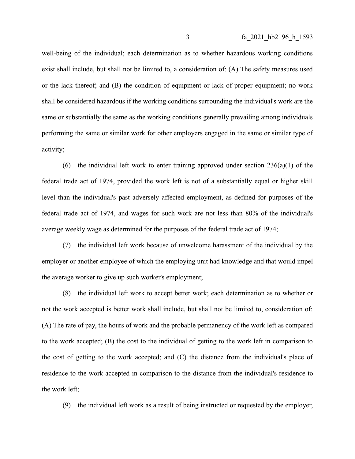well-being of the individual; each determination as to whether hazardous working conditions exist shall include, but shall not be limited to, a consideration of: (A) The safety measures used or the lack thereof; and (B) the condition of equipment or lack of proper equipment; no work shall be considered hazardous if the working conditions surrounding the individual's work are the same or substantially the same as the working conditions generally prevailing among individuals performing the same or similar work for other employers engaged in the same or similar type of activity;

(6) the individual left work to enter training approved under section  $236(a)(1)$  of the federal trade act of 1974, provided the work left is not of a substantially equal or higher skill level than the individual's past adversely affected employment, as defined for purposes of the federal trade act of 1974, and wages for such work are not less than 80% of the individual's average weekly wage as determined for the purposes of the federal trade act of 1974;

(7) the individual left work because of unwelcome harassment of the individual by the employer or another employee of which the employing unit had knowledge and that would impel the average worker to give up such worker's employment;

(8) the individual left work to accept better work; each determination as to whether or not the work accepted is better work shall include, but shall not be limited to, consideration of: (A) The rate of pay, the hours of work and the probable permanency of the work left as compared to the work accepted; (B) the cost to the individual of getting to the work left in comparison to the cost of getting to the work accepted; and (C) the distance from the individual's place of residence to the work accepted in comparison to the distance from the individual's residence to the work left;

(9) the individual left work as a result of being instructed or requested by the employer,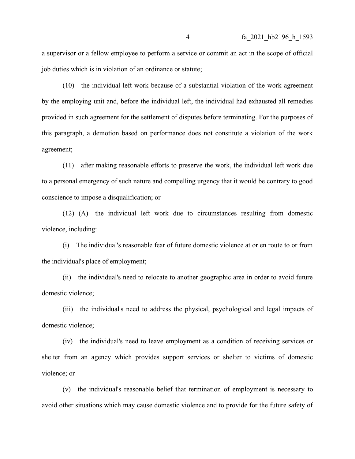a supervisor or a fellow employee to perform a service or commit an act in the scope of official job duties which is in violation of an ordinance or statute;

(10) the individual left work because of a substantial violation of the work agreement by the employing unit and, before the individual left, the individual had exhausted all remedies provided in such agreement for the settlement of disputes before terminating. For the purposes of this paragraph, a demotion based on performance does not constitute a violation of the work agreement;

(11) after making reasonable efforts to preserve the work, the individual left work due to a personal emergency of such nature and compelling urgency that it would be contrary to good conscience to impose a disqualification; or

(12) (A) the individual left work due to circumstances resulting from domestic violence, including:

(i) The individual's reasonable fear of future domestic violence at or en route to or from the individual's place of employment;

(ii) the individual's need to relocate to another geographic area in order to avoid future domestic violence;

(iii) the individual's need to address the physical, psychological and legal impacts of domestic violence;

(iv) the individual's need to leave employment as a condition of receiving services or shelter from an agency which provides support services or shelter to victims of domestic violence; or

(v) the individual's reasonable belief that termination of employment is necessary to avoid other situations which may cause domestic violence and to provide for the future safety of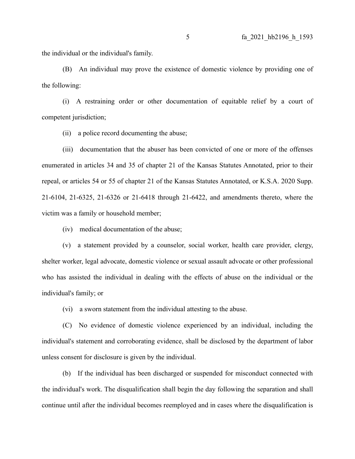the individual or the individual's family.

(B) An individual may prove the existence of domestic violence by providing one of the following:

(i) A restraining order or other documentation of equitable relief by a court of competent jurisdiction;

(ii) a police record documenting the abuse;

(iii) documentation that the abuser has been convicted of one or more of the offenses enumerated in articles 34 and 35 of chapter 21 of the Kansas Statutes Annotated, prior to their repeal, or articles 54 or 55 of chapter 21 of the Kansas Statutes Annotated, or K.S.A. 2020 Supp. 21-6104, 21-6325, 21-6326 or 21-6418 through 21-6422, and amendments thereto, where the victim was a family or household member;

(iv) medical documentation of the abuse;

(v) a statement provided by a counselor, social worker, health care provider, clergy, shelter worker, legal advocate, domestic violence or sexual assault advocate or other professional who has assisted the individual in dealing with the effects of abuse on the individual or the individual's family; or

(vi) a sworn statement from the individual attesting to the abuse.

(C) No evidence of domestic violence experienced by an individual, including the individual's statement and corroborating evidence, shall be disclosed by the department of labor unless consent for disclosure is given by the individual.

(b) If the individual has been discharged or suspended for misconduct connected with the individual's work. The disqualification shall begin the day following the separation and shall continue until after the individual becomes reemployed and in cases where the disqualification is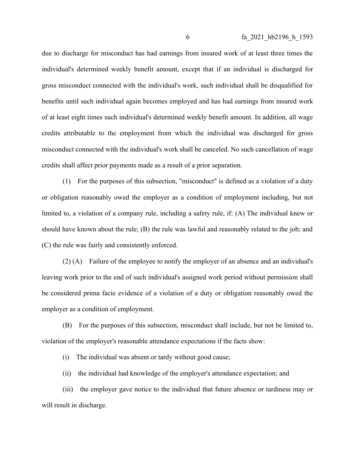due to discharge for misconduct has had earnings from insured work of at least three times the individual's determined weekly benefit amount, except that if an individual is discharged for gross misconduct connected with the individual's work, such individual shall be disqualified for benefits until such individual again becomes employed and has had earnings from insured work of at least eight times such individual's determined weekly benefit amount. In addition, all wage credits attributable to the employment from which the individual was discharged for gross misconduct connected with the individual's work shall be canceled. No such cancellation of wage credits shall affect prior payments made as a result of a prior separation.

(1) For the purposes of this subsection, "misconduct" is defined as a violation of a duty or obligation reasonably owed the employer as a condition of employment including, but not limited to, a violation of a company rule, including a safety rule, if: (A) The individual knew or should have known about the rule; (B) the rule was lawful and reasonably related to the job; and (C) the rule was fairly and consistently enforced.

(2) (A) Failure of the employee to notify the employer of an absence and an individual's leaving work prior to the end of such individual's assigned work period without permission shall be considered prima facie evidence of a violation of a duty or obligation reasonably owed the employer as a condition of employment.

(B) For the purposes of this subsection, misconduct shall include, but not be limited to, violation of the employer's reasonable attendance expectations if the facts show:

(i) The individual was absent or tardy without good cause;

(ii) the individual had knowledge of the employer's attendance expectation; and

(iii) the employer gave notice to the individual that future absence or tardiness may or will result in discharge.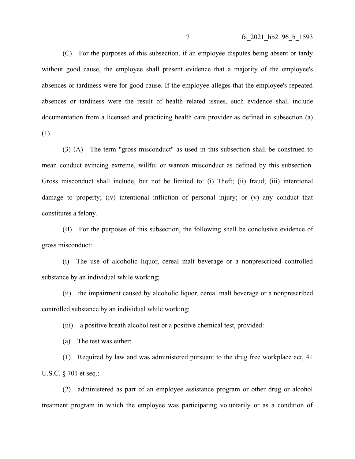(C) For the purposes of this subsection, if an employee disputes being absent or tardy without good cause, the employee shall present evidence that a majority of the employee's absences or tardiness were for good cause. If the employee alleges that the employee's repeated absences or tardiness were the result of health related issues, such evidence shall include documentation from a licensed and practicing health care provider as defined in subsection (a) (1).

(3) (A) The term "gross misconduct" as used in this subsection shall be construed to mean conduct evincing extreme, willful or wanton misconduct as defined by this subsection. Gross misconduct shall include, but not be limited to: (i) Theft; (ii) fraud; (iii) intentional damage to property; (iv) intentional infliction of personal injury; or (v) any conduct that constitutes a felony.

(B) For the purposes of this subsection, the following shall be conclusive evidence of gross misconduct:

(i) The use of alcoholic liquor, cereal malt beverage or a nonprescribed controlled substance by an individual while working;

(ii) the impairment caused by alcoholic liquor, cereal malt beverage or a nonprescribed controlled substance by an individual while working;

(iii) a positive breath alcohol test or a positive chemical test, provided:

(a) The test was either:

(1) Required by law and was administered pursuant to the drug free workplace act, 41 U.S.C. § 701 et seq.;

(2) administered as part of an employee assistance program or other drug or alcohol treatment program in which the employee was participating voluntarily or as a condition of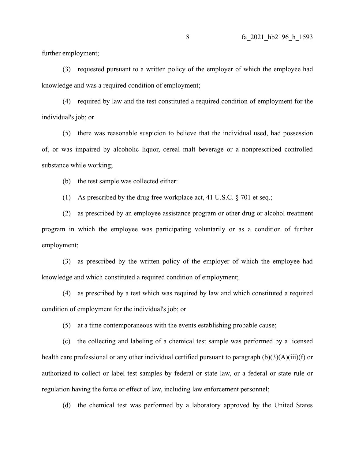further employment;

(3) requested pursuant to a written policy of the employer of which the employee had knowledge and was a required condition of employment;

(4) required by law and the test constituted a required condition of employment for the individual's job; or

(5) there was reasonable suspicion to believe that the individual used, had possession of, or was impaired by alcoholic liquor, cereal malt beverage or a nonprescribed controlled substance while working;

(b) the test sample was collected either:

(1) As prescribed by the drug free workplace act, 41 U.S.C. § 701 et seq.;

(2) as prescribed by an employee assistance program or other drug or alcohol treatment program in which the employee was participating voluntarily or as a condition of further employment;

(3) as prescribed by the written policy of the employer of which the employee had knowledge and which constituted a required condition of employment;

(4) as prescribed by a test which was required by law and which constituted a required condition of employment for the individual's job; or

(5) at a time contemporaneous with the events establishing probable cause;

(c) the collecting and labeling of a chemical test sample was performed by a licensed health care professional or any other individual certified pursuant to paragraph (b)(3)(A)(iii)(f) or authorized to collect or label test samples by federal or state law, or a federal or state rule or regulation having the force or effect of law, including law enforcement personnel;

(d) the chemical test was performed by a laboratory approved by the United States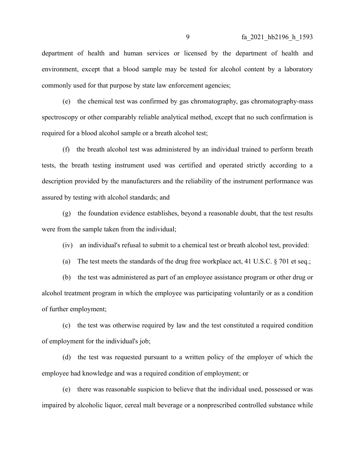department of health and human services or licensed by the department of health and environment, except that a blood sample may be tested for alcohol content by a laboratory commonly used for that purpose by state law enforcement agencies;

(e) the chemical test was confirmed by gas chromatography, gas chromatography-mass spectroscopy or other comparably reliable analytical method, except that no such confirmation is required for a blood alcohol sample or a breath alcohol test;

(f) the breath alcohol test was administered by an individual trained to perform breath tests, the breath testing instrument used was certified and operated strictly according to a description provided by the manufacturers and the reliability of the instrument performance was assured by testing with alcohol standards; and

(g) the foundation evidence establishes, beyond a reasonable doubt, that the test results were from the sample taken from the individual;

(iv) an individual's refusal to submit to a chemical test or breath alcohol test, provided:

(a) The test meets the standards of the drug free workplace act, 41 U.S.C. § 701 et seq.;

(b) the test was administered as part of an employee assistance program or other drug or alcohol treatment program in which the employee was participating voluntarily or as a condition of further employment;

(c) the test was otherwise required by law and the test constituted a required condition of employment for the individual's job;

(d) the test was requested pursuant to a written policy of the employer of which the employee had knowledge and was a required condition of employment; or

(e) there was reasonable suspicion to believe that the individual used, possessed or was impaired by alcoholic liquor, cereal malt beverage or a nonprescribed controlled substance while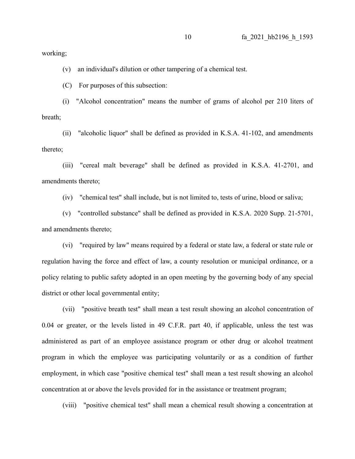working;

(v) an individual's dilution or other tampering of a chemical test.

(C) For purposes of this subsection:

(i) "Alcohol concentration" means the number of grams of alcohol per 210 liters of breath;

(ii) "alcoholic liquor" shall be defined as provided in K.S.A. 41-102, and amendments thereto;

(iii) "cereal malt beverage" shall be defined as provided in K.S.A. 41-2701, and amendments thereto;

(iv) "chemical test" shall include, but is not limited to, tests of urine, blood or saliva;

(v) "controlled substance" shall be defined as provided in K.S.A. 2020 Supp. 21-5701, and amendments thereto;

(vi) "required by law" means required by a federal or state law, a federal or state rule or regulation having the force and effect of law, a county resolution or municipal ordinance, or a policy relating to public safety adopted in an open meeting by the governing body of any special district or other local governmental entity;

(vii) "positive breath test" shall mean a test result showing an alcohol concentration of 0.04 or greater, or the levels listed in 49 C.F.R. part 40, if applicable, unless the test was administered as part of an employee assistance program or other drug or alcohol treatment program in which the employee was participating voluntarily or as a condition of further employment, in which case "positive chemical test" shall mean a test result showing an alcohol concentration at or above the levels provided for in the assistance or treatment program;

(viii) "positive chemical test" shall mean a chemical result showing a concentration at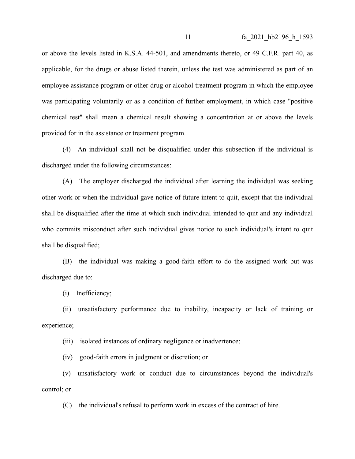or above the levels listed in K.S.A. 44-501, and amendments thereto, or 49 C.F.R. part 40, as applicable, for the drugs or abuse listed therein, unless the test was administered as part of an employee assistance program or other drug or alcohol treatment program in which the employee was participating voluntarily or as a condition of further employment, in which case "positive chemical test" shall mean a chemical result showing a concentration at or above the levels provided for in the assistance or treatment program.

(4) An individual shall not be disqualified under this subsection if the individual is discharged under the following circumstances:

(A) The employer discharged the individual after learning the individual was seeking other work or when the individual gave notice of future intent to quit, except that the individual shall be disqualified after the time at which such individual intended to quit and any individual who commits misconduct after such individual gives notice to such individual's intent to quit shall be disqualified;

(B) the individual was making a good-faith effort to do the assigned work but was discharged due to:

(i) Inefficiency;

(ii) unsatisfactory performance due to inability, incapacity or lack of training or experience;

(iii) isolated instances of ordinary negligence or inadvertence;

(iv) good-faith errors in judgment or discretion; or

(v) unsatisfactory work or conduct due to circumstances beyond the individual's control; or

(C) the individual's refusal to perform work in excess of the contract of hire.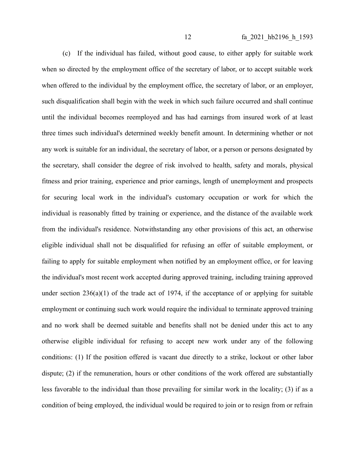(c) If the individual has failed, without good cause, to either apply for suitable work when so directed by the employment office of the secretary of labor, or to accept suitable work when offered to the individual by the employment office, the secretary of labor, or an employer, such disqualification shall begin with the week in which such failure occurred and shall continue until the individual becomes reemployed and has had earnings from insured work of at least three times such individual's determined weekly benefit amount. In determining whether or not any work is suitable for an individual, the secretary of labor, or a person or persons designated by the secretary, shall consider the degree of risk involved to health, safety and morals, physical fitness and prior training, experience and prior earnings, length of unemployment and prospects for securing local work in the individual's customary occupation or work for which the individual is reasonably fitted by training or experience, and the distance of the available work from the individual's residence. Notwithstanding any other provisions of this act, an otherwise eligible individual shall not be disqualified for refusing an offer of suitable employment, or failing to apply for suitable employment when notified by an employment office, or for leaving the individual's most recent work accepted during approved training, including training approved under section  $236(a)(1)$  of the trade act of 1974, if the acceptance of or applying for suitable employment or continuing such work would require the individual to terminate approved training and no work shall be deemed suitable and benefits shall not be denied under this act to any otherwise eligible individual for refusing to accept new work under any of the following conditions: (1) If the position offered is vacant due directly to a strike, lockout or other labor dispute; (2) if the remuneration, hours or other conditions of the work offered are substantially less favorable to the individual than those prevailing for similar work in the locality; (3) if as a condition of being employed, the individual would be required to join or to resign from or refrain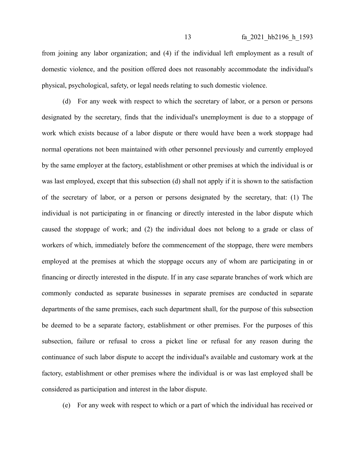from joining any labor organization; and (4) if the individual left employment as a result of domestic violence, and the position offered does not reasonably accommodate the individual's physical, psychological, safety, or legal needs relating to such domestic violence.

(d) For any week with respect to which the secretary of labor, or a person or persons designated by the secretary, finds that the individual's unemployment is due to a stoppage of work which exists because of a labor dispute or there would have been a work stoppage had normal operations not been maintained with other personnel previously and currently employed by the same employer at the factory, establishment or other premises at which the individual is or was last employed, except that this subsection (d) shall not apply if it is shown to the satisfaction of the secretary of labor, or a person or persons designated by the secretary, that: (1) The individual is not participating in or financing or directly interested in the labor dispute which caused the stoppage of work; and (2) the individual does not belong to a grade or class of workers of which, immediately before the commencement of the stoppage, there were members employed at the premises at which the stoppage occurs any of whom are participating in or financing or directly interested in the dispute. If in any case separate branches of work which are commonly conducted as separate businesses in separate premises are conducted in separate departments of the same premises, each such department shall, for the purpose of this subsection be deemed to be a separate factory, establishment or other premises. For the purposes of this subsection, failure or refusal to cross a picket line or refusal for any reason during the continuance of such labor dispute to accept the individual's available and customary work at the factory, establishment or other premises where the individual is or was last employed shall be considered as participation and interest in the labor dispute.

(e) For any week with respect to which or a part of which the individual has received or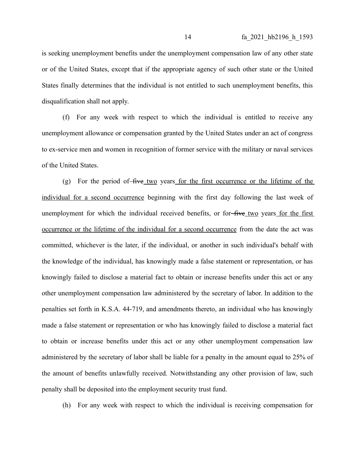is seeking unemployment benefits under the unemployment compensation law of any other state or of the United States, except that if the appropriate agency of such other state or the United States finally determines that the individual is not entitled to such unemployment benefits, this disqualification shall not apply.

(f) For any week with respect to which the individual is entitled to receive any unemployment allowance or compensation granted by the United States under an act of congress to ex-service men and women in recognition of former service with the military or naval services of the United States.

(g) For the period of  $five_t$  two years for the first occurrence or the lifetime of the individual for a second occurrence beginning with the first day following the last week of unemployment for which the individual received benefits, or for five two years for the first occurrence or the lifetime of the individual for a second occurrence from the date the act was committed, whichever is the later, if the individual, or another in such individual's behalf with the knowledge of the individual, has knowingly made a false statement or representation, or has knowingly failed to disclose a material fact to obtain or increase benefits under this act or any other unemployment compensation law administered by the secretary of labor. In addition to the penalties set forth in K.S.A. 44-719, and amendments thereto, an individual who has knowingly made a false statement or representation or who has knowingly failed to disclose a material fact to obtain or increase benefits under this act or any other unemployment compensation law administered by the secretary of labor shall be liable for a penalty in the amount equal to 25% of the amount of benefits unlawfully received. Notwithstanding any other provision of law, such penalty shall be deposited into the employment security trust fund.

(h) For any week with respect to which the individual is receiving compensation for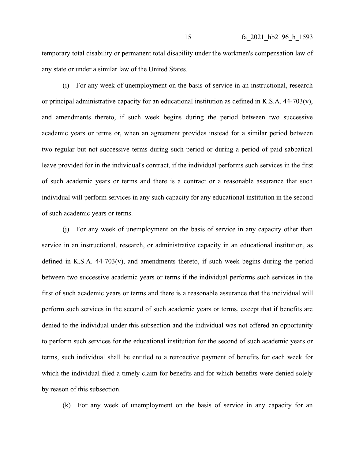temporary total disability or permanent total disability under the workmen's compensation law of any state or under a similar law of the United States.

(i) For any week of unemployment on the basis of service in an instructional, research or principal administrative capacity for an educational institution as defined in K.S.A. 44-703(v), and amendments thereto, if such week begins during the period between two successive academic years or terms or, when an agreement provides instead for a similar period between two regular but not successive terms during such period or during a period of paid sabbatical leave provided for in the individual's contract, if the individual performs such services in the first of such academic years or terms and there is a contract or a reasonable assurance that such individual will perform services in any such capacity for any educational institution in the second of such academic years or terms.

(j) For any week of unemployment on the basis of service in any capacity other than service in an instructional, research, or administrative capacity in an educational institution, as defined in K.S.A. 44-703(v), and amendments thereto, if such week begins during the period between two successive academic years or terms if the individual performs such services in the first of such academic years or terms and there is a reasonable assurance that the individual will perform such services in the second of such academic years or terms, except that if benefits are denied to the individual under this subsection and the individual was not offered an opportunity to perform such services for the educational institution for the second of such academic years or terms, such individual shall be entitled to a retroactive payment of benefits for each week for which the individual filed a timely claim for benefits and for which benefits were denied solely by reason of this subsection.

(k) For any week of unemployment on the basis of service in any capacity for an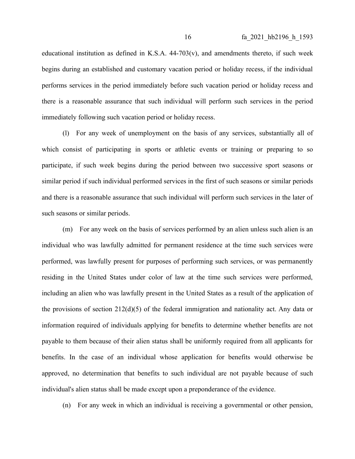educational institution as defined in K.S.A. 44-703(v), and amendments thereto, if such week begins during an established and customary vacation period or holiday recess, if the individual performs services in the period immediately before such vacation period or holiday recess and there is a reasonable assurance that such individual will perform such services in the period immediately following such vacation period or holiday recess.

(l) For any week of unemployment on the basis of any services, substantially all of which consist of participating in sports or athletic events or training or preparing to so participate, if such week begins during the period between two successive sport seasons or similar period if such individual performed services in the first of such seasons or similar periods and there is a reasonable assurance that such individual will perform such services in the later of such seasons or similar periods.

(m) For any week on the basis of services performed by an alien unless such alien is an individual who was lawfully admitted for permanent residence at the time such services were performed, was lawfully present for purposes of performing such services, or was permanently residing in the United States under color of law at the time such services were performed, including an alien who was lawfully present in the United States as a result of the application of the provisions of section 212(d)(5) of the federal immigration and nationality act. Any data or information required of individuals applying for benefits to determine whether benefits are not payable to them because of their alien status shall be uniformly required from all applicants for benefits. In the case of an individual whose application for benefits would otherwise be approved, no determination that benefits to such individual are not payable because of such individual's alien status shall be made except upon a preponderance of the evidence.

(n) For any week in which an individual is receiving a governmental or other pension,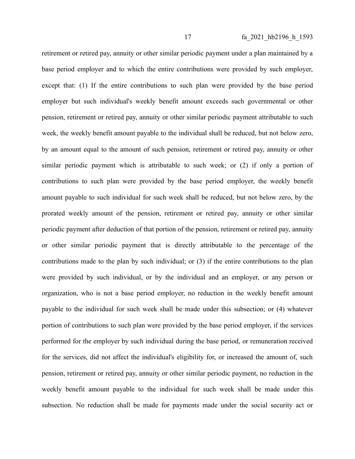retirement or retired pay, annuity or other similar periodic payment under a plan maintained by a base period employer and to which the entire contributions were provided by such employer, except that: (1) If the entire contributions to such plan were provided by the base period employer but such individual's weekly benefit amount exceeds such governmental or other pension, retirement or retired pay, annuity or other similar periodic payment attributable to such week, the weekly benefit amount payable to the individual shall be reduced, but not below zero, by an amount equal to the amount of such pension, retirement or retired pay, annuity or other similar periodic payment which is attributable to such week; or (2) if only a portion of contributions to such plan were provided by the base period employer, the weekly benefit amount payable to such individual for such week shall be reduced, but not below zero, by the prorated weekly amount of the pension, retirement or retired pay, annuity or other similar periodic payment after deduction of that portion of the pension, retirement or retired pay, annuity or other similar periodic payment that is directly attributable to the percentage of the contributions made to the plan by such individual; or (3) if the entire contributions to the plan were provided by such individual, or by the individual and an employer, or any person or organization, who is not a base period employer, no reduction in the weekly benefit amount payable to the individual for such week shall be made under this subsection; or (4) whatever portion of contributions to such plan were provided by the base period employer, if the services performed for the employer by such individual during the base period, or remuneration received for the services, did not affect the individual's eligibility for, or increased the amount of, such pension, retirement or retired pay, annuity or other similar periodic payment, no reduction in the weekly benefit amount payable to the individual for such week shall be made under this subsection. No reduction shall be made for payments made under the social security act or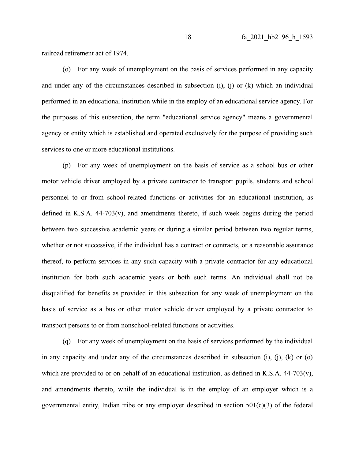railroad retirement act of 1974.

(o) For any week of unemployment on the basis of services performed in any capacity and under any of the circumstances described in subsection (i), (j) or (k) which an individual performed in an educational institution while in the employ of an educational service agency. For the purposes of this subsection, the term "educational service agency" means a governmental agency or entity which is established and operated exclusively for the purpose of providing such services to one or more educational institutions.

(p) For any week of unemployment on the basis of service as a school bus or other motor vehicle driver employed by a private contractor to transport pupils, students and school personnel to or from school-related functions or activities for an educational institution, as defined in K.S.A. 44-703(v), and amendments thereto, if such week begins during the period between two successive academic years or during a similar period between two regular terms, whether or not successive, if the individual has a contract or contracts, or a reasonable assurance thereof, to perform services in any such capacity with a private contractor for any educational institution for both such academic years or both such terms. An individual shall not be disqualified for benefits as provided in this subsection for any week of unemployment on the basis of service as a bus or other motor vehicle driver employed by a private contractor to transport persons to or from nonschool-related functions or activities.

(q) For any week of unemployment on the basis of services performed by the individual in any capacity and under any of the circumstances described in subsection  $(i)$ ,  $(i)$ ,  $(k)$  or  $(o)$ which are provided to or on behalf of an educational institution, as defined in K.S.A. 44-703(v), and amendments thereto, while the individual is in the employ of an employer which is a governmental entity, Indian tribe or any employer described in section  $501(c)(3)$  of the federal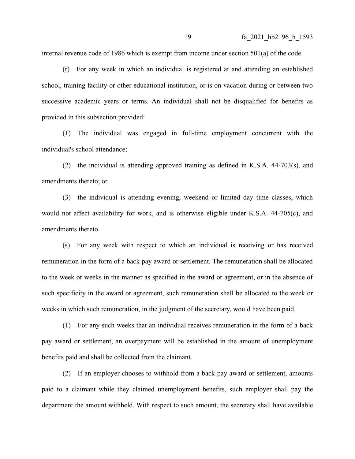internal revenue code of 1986 which is exempt from income under section 501(a) of the code.

(r) For any week in which an individual is registered at and attending an established school, training facility or other educational institution, or is on vacation during or between two successive academic years or terms. An individual shall not be disqualified for benefits as provided in this subsection provided:

(1) The individual was engaged in full-time employment concurrent with the individual's school attendance;

(2) the individual is attending approved training as defined in K.S.A. 44-703(s), and amendments thereto; or

(3) the individual is attending evening, weekend or limited day time classes, which would not affect availability for work, and is otherwise eligible under K.S.A. 44-705(c), and amendments thereto.

(s) For any week with respect to which an individual is receiving or has received remuneration in the form of a back pay award or settlement. The remuneration shall be allocated to the week or weeks in the manner as specified in the award or agreement, or in the absence of such specificity in the award or agreement, such remuneration shall be allocated to the week or weeks in which such remuneration, in the judgment of the secretary, would have been paid.

(1) For any such weeks that an individual receives remuneration in the form of a back pay award or settlement, an overpayment will be established in the amount of unemployment benefits paid and shall be collected from the claimant.

(2) If an employer chooses to withhold from a back pay award or settlement, amounts paid to a claimant while they claimed unemployment benefits, such employer shall pay the department the amount withheld. With respect to such amount, the secretary shall have available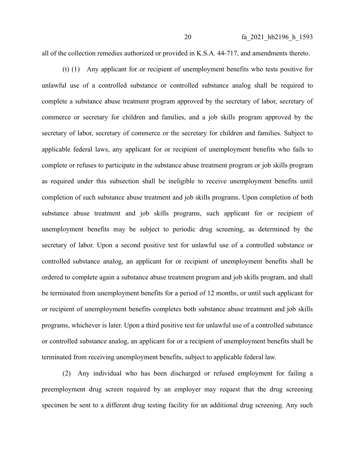all of the collection remedies authorized or provided in K.S.A. 44-717, and amendments thereto.

(t) (1) Any applicant for or recipient of unemployment benefits who tests positive for unlawful use of a controlled substance or controlled substance analog shall be required to complete a substance abuse treatment program approved by the secretary of labor, secretary of commerce or secretary for children and families, and a job skills program approved by the secretary of labor, secretary of commerce or the secretary for children and families. Subject to applicable federal laws, any applicant for or recipient of unemployment benefits who fails to complete or refuses to participate in the substance abuse treatment program or job skills program as required under this subsection shall be ineligible to receive unemployment benefits until completion of such substance abuse treatment and job skills programs. Upon completion of both substance abuse treatment and job skills programs, such applicant for or recipient of unemployment benefits may be subject to periodic drug screening, as determined by the secretary of labor. Upon a second positive test for unlawful use of a controlled substance or controlled substance analog, an applicant for or recipient of unemployment benefits shall be ordered to complete again a substance abuse treatment program and job skills program, and shall be terminated from unemployment benefits for a period of 12 months, or until such applicant for or recipient of unemployment benefits completes both substance abuse treatment and job skills programs, whichever is later. Upon a third positive test for unlawful use of a controlled substance or controlled substance analog, an applicant for or a recipient of unemployment benefits shall be terminated from receiving unemployment benefits, subject to applicable federal law.

(2) Any individual who has been discharged or refused employment for failing a preemployment drug screen required by an employer may request that the drug screening specimen be sent to a different drug testing facility for an additional drug screening. Any such